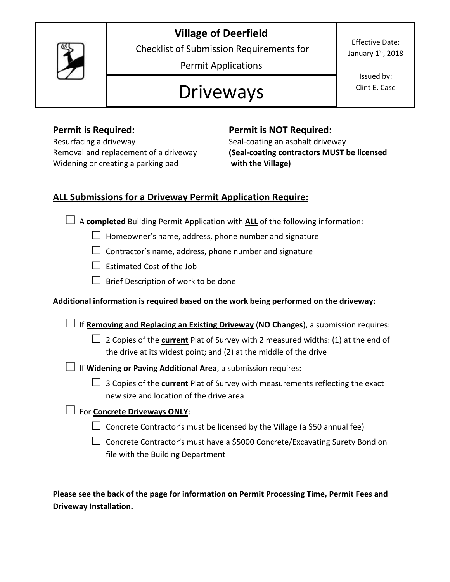## **Village of Deerfield**



Checklist of Submission Requirements for

Permit Applications

# Driveways

Effective Date: January  $1<sup>st</sup>$ , 2018

> Issued by: Clint E. Case

Resurfacing a driveway **Seal-coating an asphalt driveway** Widening or creating a parking pad **with the Village)** 

#### **Permit is Required: Permit is NOT Required:**

Removal and replacement of a driveway **(Seal-coating contractors MUST be licensed**

### **ALL Submissions for a Driveway Permit Application Require:**

**□** <sup>A</sup>**completed** Building Permit Application with **ALL** of the following information:

- **□** Homeowner's name, address, phone number and signature
- **□** Contractor's name, address, phone number and signature
- **□** Estimated Cost of the Job
- **□** Brief Description of work to be done

#### **Additional information is required based on the work being performed on the driveway:**

**□** If **Removing and Replacing an Existing Driveway** (**NO Changes**), a submission requires:

- **□** 2 Copies of the **current** Plat of Survey with 2 measured widths: (1) at the end of the drive at its widest point; and (2) at the middle of the drive
- **□** If **Widening or Paving Additional Area**, a submission requires:
	- **□** 3 Copies of the **current** Plat of Survey with measurements reflecting the exact new size and location of the drive area

#### **□** For **Concrete Driveways ONLY**:

- **□** Concrete Contractor's must be licensed by the Village (a \$50 annual fee)
- **□** Concrete Contractor's must have a \$5000 Concrete/Excavating Surety Bond on file with the Building Department

**Please see the back of the page for information on Permit Processing Time, Permit Fees and Driveway Installation.**